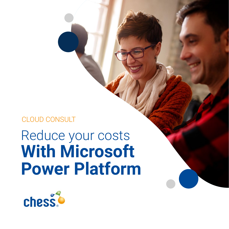### CLOUD CONSULT

# Reduce your costs **With Microsoft Power Platform**

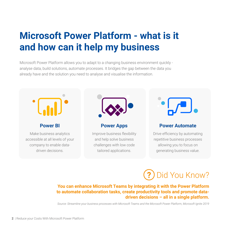## **Microsoft Power Platform - what is it and how can it help my business**

Microsoft Power Platform allows you to adapt to a changing business environment quickly analyse data, build solutions, automate processes. It bridges the gap between the data you already have and the solution you need to analyse and visualise the information.



#### **Power BI**

Make business analytics accessible at all levels of your company to enable datadriven decisions.



#### **Power Apps**

Improve business flexibility and help solve business challenges with low code tailored applications.



#### **Power Automate**

Drive efficiency by automating repetitive business processes allowing you to focus on generating business value.



#### **You can enhance Microsoft Teams by integrating it with the Power Platform to automate collaboration tasks, create productivity tools and promote datadriven decisions – all in a single platform.**

*Source: Streamline your business processes with Microsoft Teams and the Microsoft Power Platform, Microsoft Ignite 2019*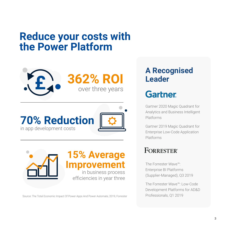## **Reduce your costs with the Power Platform**







Source: The Total Economic Impact Of Power Apps And Power Automate, 2019, Forrester Professionals, Q1 2019

### **A Recognised Leader**

## **Gartner**

Gartner 2020 Magic Quadrant for Analytics and Business Intelligent Platforms

Gartner 2019 Magic Quadrant for Enterprise Low-Code Application Platforms

### **FORRESTER®**

The Forrester Wave™: Enterprise BI Platforms (Supplier-Managed), Q3 2019

The Forrester Wave™: Low-Code Development Platforms for AD&D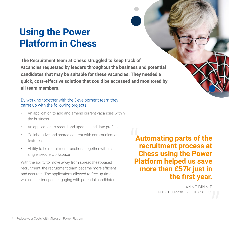## **Using the Power Platform in Chess**

**The Recruitment team at Chess struggled to keep track of vacancies requested by leaders throughout the business and potential candidates that may be suitable for these vacancies. They needed a quick, cost-effective solution that could be accessed and monitored by all team members.** 

#### By working together with the Development team they came up with the following projects:

- An application to add and amend current vacancies within the business
- An application to record and update candidate profiles
- Collaborative and shared content with communication features
- Ability to tie recruitment functions together within a single, secure workspace

With the ability to move away from spreadsheet-based recruitment, the recruitment team became more efficient and accurate. The applications allowed to free up time which is better spent engaging with potential candidates.

**Automating parts of the recruitment process at Chess using the Power Platform helped us save more than £57k just in**  Aute<br>
rec<br>
Che

**the first year.**<br>
ANNE BINNIE<br>
PEOPLE SUPPORT DIRECTOR, CHESS ANNE BINNIE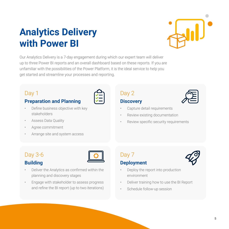## **Analytics Delivery with Power BI**



Our Analytics Delivery is a 7-day engagement during which our expert team will deliver up to three Power BI reports and an overall dashboard based on these reports. If you are unfamiliar with the possibilities of the Power Platform, it is the ideal service to help you get started and streamline your processes and reporting.

#### Day 1

#### **Preparation and Planning**

- Define business objective with key stakeholders
- Assess Data Quality
- Agree commitment
- Arrange site and system access



### Day 2

#### **Discovery**

- Capture detail requirements
- Review existing documentation
- Review specific security requirements

### Day 3-6



#### **Building**

- Deliver the Analytics as confirmed within the planning and discovery stages
- Engage with stakeholder to assess progress and refine the BI report (up to two iterations)





- Deploy the report into production environment
- Deliver training how to use the BI Report
- Schedule follow-up session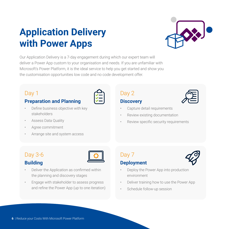## **Application Delivery with Power Apps**

Our Application Delivery is a 7-day engagement during which our expert team will deliver a Power App custom to your organisation and needs. If you are unfamiliar with Microsoft's Power Platform, it is the ideal service to help you get started and show you the customisation opportunities low code and no code development offer.

#### Day 1

#### **Preparation and Planning**

- Define business objective with key stakeholders
- Assess Data Quality
- Agree commitment
- Arrange site and system access

### Day 2

#### **Discovery**

- Capture detail requirements
- Review existing documentation
- Review specific security requirements

### Day 3-6

#### **Building**

- Deliver the Application as confirmed within the planning and discovery stages
- Engage with stakeholder to assess progress and refine the Power App (up to one iteration)

#### Day 7 **Deployment**

- Deploy the Power App into production environment
- Deliver training how to use the Power App
- Schedule follow-up session





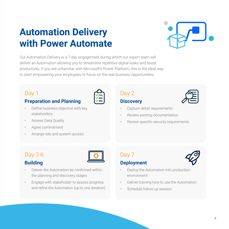## **Automation Delivery with Power Automate**



Our Automation Delivery is a 7-day engagement during which our expert team will deliver an Automation allowing you to streamline repetitive digital tasks and boost productivity. If you are unfamiliar with Microsoft's Power Platform, this is the ideal way to start empowering your employees to focus on the real business opportunities.

#### Day 1

#### **Preparation and Planning**

- Define business objective with key stakeholders
- Assess Data Quality
- Agree commitment
- Arrange site and system access

#### **Discovery**

Day 2

- Capture detail requirements
- Review existing documentation
- Review specific security requirements

#### Day 3-6 **Building**



- Deliver the Automation as confirmed within the planning and discovery stages
- Engage with stakeholder to assess progress and refine the Automation (up to one iteration)

#### Day 7 **Deployment**



- Deploy the Automation into production environment
- Deliver training how to use the Automation
- Schedule follow-up session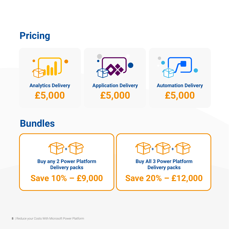## **Pricing**





**Application Delivery £5,000**



### **Bundles**

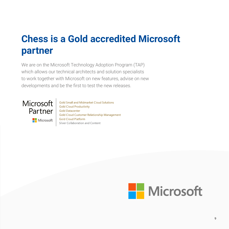## **Chess is a Gold accredited Microsoft partner**

We are on the Microsoft Technology Adoption Program (TAP) which allows our technical architects and solution specialists to work together with Microsoft on new features, advise on new developments and be the first to test the new releases.



Microsoft

Gold Small and Midmarket Cloud Solutions **Gold Cloud Productivity Gold Datacenter Gold Cloud Customer Relationship Management Gold Cloud Platform** Silver Collaboration and Content

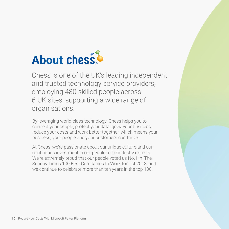# **About chess**

Chess is one of the UK's leading independent and trusted technology service providers, employing 480 skilled people across 6 UK sites, supporting a wide range of organisations.

By leveraging world-class technology, Chess helps you to connect your people, protect your data, grow your business, reduce your costs and work better together, which means your business, your people and your customers can thrive.

At Chess, we're passionate about our unique culture and our continuous investment in our people to be industry experts. We're extremely proud that our people voted us No.1 in 'The Sunday Times 100 Best Companies to Work for' list 2018, and we continue to celebrate more than ten years in the top 100.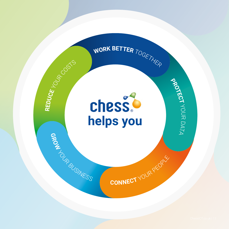